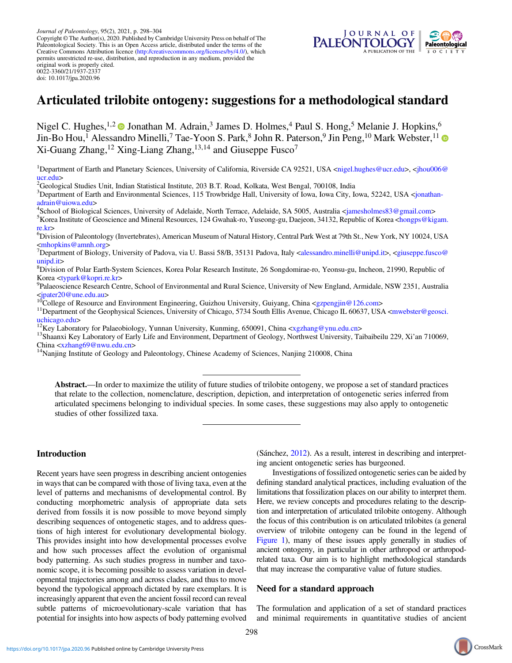

# Articulated trilobite ontogeny: suggestions for a methodological standard

Nigel C. Hughes,<sup>1,2</sup> D Jonathan M. Adrain,<sup>3</sup> James D. Holmes,<sup>4</sup> Paul S. Hong,<sup>5</sup> Melanie J. Hopkins,<sup>6</sup> Jin-Bo Hou,<sup>1</sup> Alessandro Minelli,<sup>7</sup> Tae-Yoon S. Park,<sup>8</sup> John R. Paterson,<sup>9</sup> Jin Peng,<sup>10</sup> Mark Webster,<sup>11</sup> Xi-Guang Zhang,12 Xing-Liang Zhang,13,14 and Giuseppe Fusco7

<sup>1</sup>Department of Earth and Planetary Sciences, University of California, Riverside CA 92521, USA <[nigel.hughes@ucr.edu](mailto:nigel.hughes@ucr.edu)>, <[jhou006@](mailto:jhou006@ucr.edu) [ucr.edu>](mailto:jhou006@ucr.edu) <sup>2</sup>

 $^{2}$ Geological Studies Unit, Indian Statistical Institute, 203 B.T. Road, Kolkata, West Bengal, 700108, India

<sup>3</sup>Department of Earth and Environmental Sciences, 115 Trowbridge Hall, University of Iowa, Iowa, Iowa, 52242, USA <[jonathan](mailto:jonathan-adrain@uiowa.edu)[adrain@uiowa.edu>](mailto:jonathan-adrain@uiowa.edu) <sup>4</sup>

<sup>4</sup>School of Biological Sciences, University of Adelaide, North Terrace, Adelaide, SA 5005, Australia [<jamesholmes83@gmail.com>](mailto:jamesholmes83@gmail.com) <sup>5</sup>Korea Institute of Geoscience and Mineral Resources, 124 Gwahak-ro, Yuseong-gu, Daejeon, 34132, Republic of Korea <[hongps@kigam.](mailto:hongps@kigam.re.kr)

[re.kr](mailto:hongps@kigam.re.kr)><br><sup>6</sup>Division of Paleontology (Invertebrates), American Museum of Natural History, Central Park West at 79th St., New York, NY 10024, USA

 $<$ mhopkins@amnh.org>

 $^7$ Department of Biology, University of Padova, via U. Bassi 58/B, 35131 Padova, Italy <[alessandro.minelli@unipd.it](mailto:alessandro.minelli@unipd.it)>, <[giuseppe.fusco@](mailto:giuseppe.fusco@unipd.it) [unipd.it>](mailto:giuseppe.fusco@unipd.it)

<sup>8</sup>Division of Polar Earth-System Sciences, Korea Polar Research Institute, 26 Songdomirae-ro, Yeonsu-gu, Incheon, 21990, Republic of Korea [<typark@kopri.re.kr](mailto:typark@kopri.re.kr)> <sup>9</sup>

Palaeoscience Research Centre, School of Environmental and Rural Science, University of New England, Armidale, NSW 2351, Australia  $\frac{10}{10}$ College of Resource and Environment Engineering, Guizhou University, Guiyang, China  $\frac{10}{2}$ College of Resource and Environment Engineering, Guizhou University, Guiyang, China  $\frac{10}{2}$ College of Resource an

[uchicago.edu](mailto:mwebster@geosci.uchicago.edu)><br><sup>12</sup>Key Laboratory for Palaeobiology, Yunnan University, Kunming, 650091, China [<xgzhang@ynu.edu.cn>](mailto:xgzhang@ynu.edu.cn)<br><sup>13</sup>Shaanxi Key Laboratory of Early Life and Environment, Department of Geology, Northwest University, Taib

<sup>14</sup>Nanjing Institute of Geology and Paleontology, Chinese Academy of Sciences, Nanjing 210008, China

Abstract.—In order to maximize the utility of future studies of trilobite ontogeny, we propose a set of standard practices that relate to the collection, nomenclature, description, depiction, and interpretation of ontogenetic series inferred from articulated specimens belonging to individual species. In some cases, these suggestions may also apply to ontogenetic studies of other fossilized taxa.

## Introduction

Recent years have seen progress in describing ancient ontogenies in ways that can be compared with those of living taxa, even at the level of patterns and mechanisms of developmental control. By conducting morphometric analysis of appropriate data sets derived from fossils it is now possible to move beyond simply describing sequences of ontogenetic stages, and to address questions of high interest for evolutionary developmental biology. This provides insight into how developmental processes evolve and how such processes affect the evolution of organismal body patterning. As such studies progress in number and taxonomic scope, it is becoming possible to assess variation in developmental trajectories among and across clades, and thus to move beyond the typological approach dictated by rare exemplars. It is increasingly apparent that even the ancient fossil record can reveal subtle patterns of microevolutionary-scale variation that has potential for insights into how aspects of body patterning evolved

(Sánchez, [2012](#page-6-0)). As a result, interest in describing and interpreting ancient ontogenetic series has burgeoned.

Investigations of fossilized ontogenetic series can be aided by defining standard analytical practices, including evaluation of the limitations that fossilization places on our ability to interpret them. Here, we review concepts and procedures relating to the description and interpretation of articulated trilobite ontogeny. Although the focus of this contribution is on articulated trilobites (a general overview of trilobite ontogeny can be found in the legend of [Figure 1](#page-2-0)), many of these issues apply generally in studies of ancient ontogeny, in particular in other arthropod or arthropodrelated taxa. Our aim is to highlight methodological standards that may increase the comparative value of future studies.

## Need for a standard approach

The formulation and application of a set of standard practices and minimal requirements in quantitative studies of ancient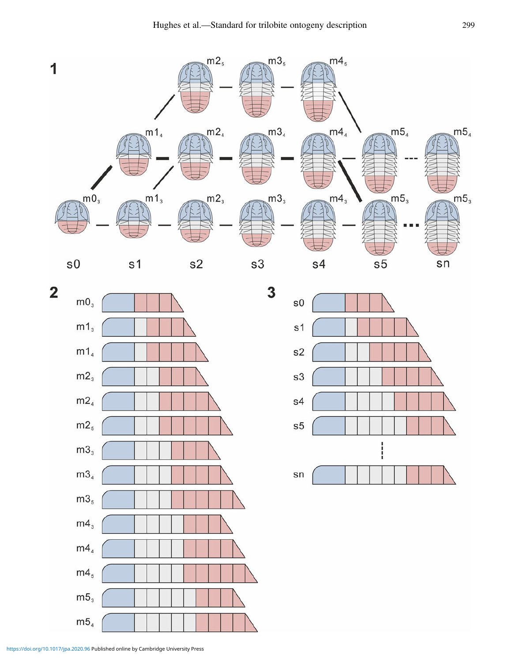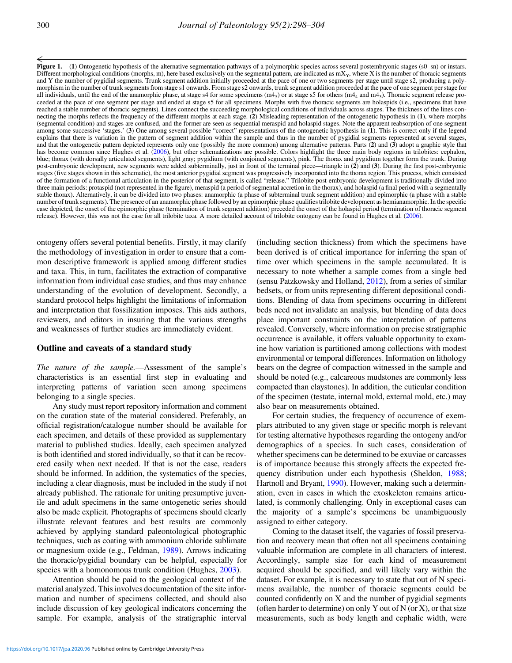<span id="page-2-0"></span>Figure 1. (1) Ontogenetic hypothesis of the alternative segmentation pathways of a polymorphic species across several postembryonic stages (s0–sn) or instars. Different morphological conditions (morphs, m), here based exclusively on the segmental pattern, are indicated as  $mX<sub>Y</sub>$ , where X is the number of thoracic segments and Y the number of pygidial segments. Trunk segment addition initially proceeded at the pace of one or two segments per stage until stage s2, producing a polymorphism in the number of trunk segments from stage s1 onwards. From stage s2 onwards, trunk segment addition proceeded at the pace of one segment per stage for all individuals, until the end of the anamorphic phase, at stage s4 for some specimens  $(m4<sub>5</sub>)$  or at stage s5 for others  $(m4<sub>4</sub>$  and  $m4<sub>3</sub>)$ . Thoracic segment release proceeded at the pace of one segment per stage and ended at stage s5 for all specimens. Morphs with five thoracic segments are holaspids (i.e., specimens that have reached a stable number of thoracic segments). Lines connect the succeeding morphological conditions of individuals across stages. The thickness of the lines connecting the morphs reflects the frequency of the different morphs at each stage. (2) Misleading representation of the ontogenetic hypothesis in (1), where morphs (segmental condition) and stages are confused, and the former are seen as sequential meraspid and holaspid stages. Note the apparent reabsorption of one segment among some successive 'stages.' (3) One among several possible "correct" representations of the ontogenetic hypothesis in (1). This is correct only if the legend explains that there is variation in the pattern of segment addition within the sample and thus in the number of pygidial segments represented at several stages, and that the ontogenetic pattern depicted represents only one (possibly the more common) among alternative patterns. Parts (2) and (3) adopt a graphic style that has become common since Hughes et al. ([2006\)](#page-5-0), but other schematizations are possible. Colors highlight the three main body regions in trilobites: cephalon, blue; thorax (with dorsally articulated segments), light gray; pygidium (with conjoined segments), pink. The thorax and pygidium together form the trunk. During post-embryonic development, new segments were added subterminally, just in front of the terminal piece—triangle in (2) and (3). During the first post-embryonic stages (five stages shown in this schematic), the most anterior pygidial segment was progressively incorporated into the thorax region. This process, which consisted of the formation of a functional articulation in the posterior of that segment, is called "release." Trilobite post-embryonic development is traditionally divided into three main periods: protaspid (not represented in the figure), meraspid (a period of segmental accretion in the thorax), and holaspid (a final period with a segmentally stable thorax). Alternatively, it can be divided into two phases: anamorphic (a phase of subterminal trunk segment addition) and epimorphic (a phase with a stable number of trunk segments). The presence of an anamorphic phase followed by an epimorphic phase qualifies trilobite development as hemianamorphic. In the specific case depicted, the onset of the epimorphic phase (termination of trunk segment addition) preceded the onset of the holaspid period (termination of thoracic segment release). However, this was not the case for all trilobite taxa. A more detailed account of trilobite ontogeny can be found in Hughes et al. ([2006\)](#page-5-0).

ontogeny offers several potential benefits. Firstly, it may clarify the methodology of investigation in order to ensure that a common descriptive framework is applied among different studies and taxa. This, in turn, facilitates the extraction of comparative information from individual case studies, and thus may enhance understanding of the evolution of development. Secondly, a standard protocol helps highlight the limitations of information and interpretation that fossilization imposes. This aids authors, reviewers, and editors in insuring that the various strengths and weaknesses of further studies are immediately evident.

### Outline and caveats of a standard study

The nature of the sample.—Assessment of the sample's characteristics is an essential first step in evaluating and interpreting patterns of variation seen among specimens belonging to a single species.

Any study must report repository information and comment on the curation state of the material considered. Preferably, an official registration/catalogue number should be available for each specimen, and details of these provided as supplementary material to published studies. Ideally, each specimen analyzed is both identified and stored individually, so that it can be recovered easily when next needed. If that is not the case, readers should be informed. In addition, the systematics of the species, including a clear diagnosis, must be included in the study if not already published. The rationale for uniting presumptive juvenile and adult specimens in the same ontogenetic series should also be made explicit. Photographs of specimens should clearly illustrate relevant features and best results are commonly achieved by applying standard paleontological photographic techniques, such as coating with ammonium chloride sublimate or magnesium oxide (e.g., Feldman, [1989\)](#page-5-0). Arrows indicating the thoracic/pygidial boundary can be helpful, especially for species with a homonomous trunk condition (Hughes, [2003\)](#page-5-0).

Attention should be paid to the geological context of the material analyzed. This involves documentation of the site information and number of specimens collected, and should also include discussion of key geological indicators concerning the sample. For example, analysis of the stratigraphic interval

(including section thickness) from which the specimens have been derived is of critical importance for inferring the span of time over which specimens in the sample accumulated. It is necessary to note whether a sample comes from a single bed (sensu Patzkowsky and Holland, [2012](#page-6-0)), from a series of similar bedsets, or from units representing different depositional conditions. Blending of data from specimens occurring in different beds need not invalidate an analysis, but blending of data does place important constraints on the interpretation of patterns revealed. Conversely, where information on precise stratigraphic occurrence is available, it offers valuable opportunity to examine how variation is partitioned among collections with modest environmental or temporal differences. Information on lithology bears on the degree of compaction witnessed in the sample and should be noted (e.g., calcareous mudstones are commonly less compacted than claystones). In addition, the cuticular condition of the specimen (testate, internal mold, external mold, etc.) may also bear on measurements obtained.

For certain studies, the frequency of occurrence of exemplars attributed to any given stage or specific morph is relevant for testing alternative hypotheses regarding the ontogeny and/or demographics of a species. In such cases, consideration of whether specimens can be determined to be exuviae or carcasses is of importance because this strongly affects the expected frequency distribution under each hypothesis (Sheldon, [1988](#page-6-0); Hartnoll and Bryant, [1990\)](#page-5-0). However, making such a determination, even in cases in which the exoskeleton remains articulated, is commonly challenging. Only in exceptional cases can the majority of a sample's specimens be unambiguously assigned to either category.

Coming to the dataset itself, the vagaries of fossil preservation and recovery mean that often not all specimens containing valuable information are complete in all characters of interest. Accordingly, sample size for each kind of measurement acquired should be specified, and will likely vary within the dataset. For example, it is necessary to state that out of N specimens available, the number of thoracic segments could be counted confidently on X and the number of pygidial segments (often harder to determine) on only Y out of N (or X), or that size measurements, such as body length and cephalic width, were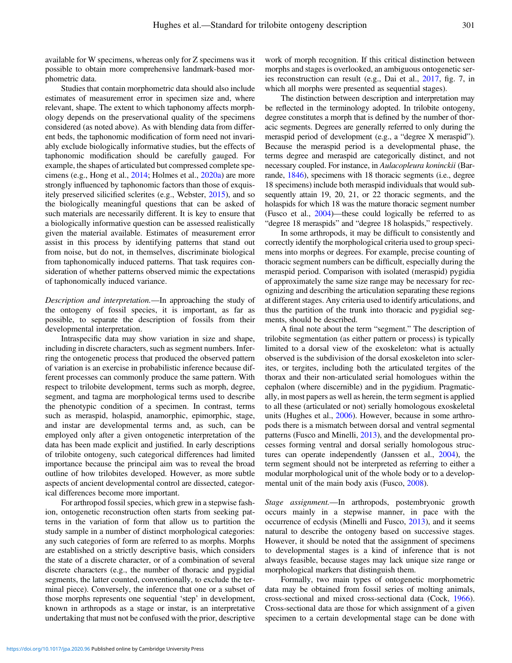available for W specimens, whereas only for Z specimens was it possible to obtain more comprehensive landmark-based morphometric data.

Studies that contain morphometric data should also include estimates of measurement error in specimen size and, where relevant, shape. The extent to which taphonomy affects morphology depends on the preservational quality of the specimens considered (as noted above). As with blending data from different beds, the taphonomic modification of form need not invariably exclude biologically informative studies, but the effects of taphonomic modification should be carefully gauged. For example, the shapes of articulated but compressed complete specimens (e.g., Hong et al., [2014;](#page-5-0) Holmes et al., [2020a\)](#page-5-0) are more strongly influenced by taphonomic factors than those of exquisitely preserved silicified sclerites (e.g., Webster, [2015\)](#page-6-0), and so the biologically meaningful questions that can be asked of such materials are necessarily different. It is key to ensure that a biologically informative question can be assessed realistically given the material available. Estimates of measurement error assist in this process by identifying patterns that stand out from noise, but do not, in themselves, discriminate biological from taphonomically induced patterns. That task requires consideration of whether patterns observed mimic the expectations of taphonomically induced variance.

Description and interpretation.—In approaching the study of the ontogeny of fossil species, it is important, as far as possible, to separate the description of fossils from their developmental interpretation.

Intraspecific data may show variation in size and shape, including in discrete characters, such as segment numbers. Inferring the ontogenetic process that produced the observed pattern of variation is an exercise in probabilistic inference because different processes can commonly produce the same pattern. With respect to trilobite development, terms such as morph, degree, segment, and tagma are morphological terms used to describe the phenotypic condition of a specimen. In contrast, terms such as meraspid, holaspid, anamorphic, epimorphic, stage, and instar are developmental terms and, as such, can be employed only after a given ontogenetic interpretation of the data has been made explicit and justified. In early descriptions of trilobite ontogeny, such categorical differences had limited importance because the principal aim was to reveal the broad outline of how trilobites developed. However, as more subtle aspects of ancient developmental control are dissected, categorical differences become more important.

For arthropod fossil species, which grew in a stepwise fashion, ontogenetic reconstruction often starts from seeking patterns in the variation of form that allow us to partition the study sample in a number of distinct morphological categories: any such categories of form are referred to as morphs. Morphs are established on a strictly descriptive basis, which considers the state of a discrete character, or of a combination of several discrete characters (e.g., the number of thoracic and pygidial segments, the latter counted, conventionally, to exclude the terminal piece). Conversely, the inference that one or a subset of those morphs represents one sequential 'step' in development, known in arthropods as a stage or instar, is an interpretative undertaking that must not be confused with the prior, descriptive

work of morph recognition. If this critical distinction between morphs and stages is overlooked, an ambiguous ontogenetic series reconstruction can result (e.g., Dai et al., [2017](#page-5-0), fig. 7, in which all morphs were presented as sequential stages).

The distinction between description and interpretation may be reflected in the terminology adopted. In trilobite ontogeny, degree constitutes a morph that is defined by the number of thoracic segments. Degrees are generally referred to only during the meraspid period of development (e.g., a "degree X meraspid"). Because the meraspid period is a developmental phase, the terms degree and meraspid are categorically distinct, and not necessary coupled. For instance, in Aulacopleura koninckii (Barrande, [1846\)](#page-5-0), specimens with 18 thoracic segments (i.e., degree 18 specimens) include both meraspid individuals that would subsequently attain 19, 20, 21, or 22 thoracic segments, and the holaspids for which 18 was the mature thoracic segment number (Fusco et al., [2004\)](#page-5-0)—these could logically be referred to as "degree 18 meraspids" and "degree 18 holaspids," respectively.

In some arthropods, it may be difficult to consistently and correctly identify the morphological criteria used to group specimens into morphs or degrees. For example, precise counting of thoracic segment numbers can be difficult, especially during the meraspid period. Comparison with isolated (meraspid) pygidia of approximately the same size range may be necessary for recognizing and describing the articulation separating these regions at different stages. Any criteria used to identify articulations, and thus the partition of the trunk into thoracic and pygidial segments, should be described.

A final note about the term "segment." The description of trilobite segmentation (as either pattern or process) is typically limited to a dorsal view of the exoskeleton: what is actually observed is the subdivision of the dorsal exoskeleton into sclerites, or tergites, including both the articulated tergites of the thorax and their non-articulated serial homologues within the cephalon (where discernible) and in the pygidium. Pragmatically, in most papers as well as herein, the term segment is applied to all these (articulated or not) serially homologous exoskeletal units (Hughes et al., [2006\)](#page-5-0). However, because in some arthropods there is a mismatch between dorsal and ventral segmental patterns (Fusco and Minelli, [2013](#page-5-0)), and the developmental processes forming ventral and dorsal serially homologous structures can operate independently (Janssen et al., [2004\)](#page-5-0), the term segment should not be interpreted as referring to either a modular morphological unit of the whole body or to a developmental unit of the main body axis (Fusco, [2008\)](#page-5-0).

Stage assignment.—In arthropods, postembryonic growth occurs mainly in a stepwise manner, in pace with the occurrence of ecdysis (Minelli and Fusco, [2013\)](#page-6-0), and it seems natural to describe the ontogeny based on successive stages. However, it should be noted that the assignment of specimens to developmental stages is a kind of inference that is not always feasible, because stages may lack unique size range or morphological markers that distinguish them.

Formally, two main types of ontogenetic morphometric data may be obtained from fossil series of molting animals, cross-sectional and mixed cross-sectional data (Cock, [1966](#page-5-0)). Cross-sectional data are those for which assignment of a given specimen to a certain developmental stage can be done with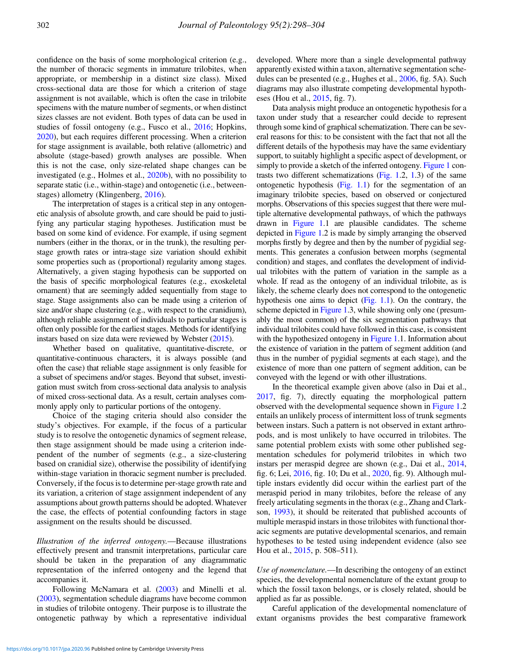confidence on the basis of some morphological criterion (e.g., the number of thoracic segments in immature trilobites, when appropriate, or membership in a distinct size class). Mixed cross-sectional data are those for which a criterion of stage assignment is not available, which is often the case in trilobite specimens with the mature number of segments, or when distinct sizes classes are not evident. Both types of data can be used in studies of fossil ontogeny (e.g., Fusco et al., [2016](#page-5-0); Hopkins, [2020](#page-5-0)), but each requires different processing. When a criterion for stage assignment is available, both relative (allometric) and absolute (stage-based) growth analyses are possible. When this is not the case, only size-related shape changes can be investigated (e.g., Holmes et al., [2020b\)](#page-5-0), with no possibility to separate static (i.e., within-stage) and ontogenetic (i.e., betweenstages) allometry (Klingenberg, [2016\)](#page-6-0).

The interpretation of stages is a critical step in any ontogenetic analysis of absolute growth, and care should be paid to justifying any particular staging hypotheses. Justification must be based on some kind of evidence. For example, if using segment numbers (either in the thorax, or in the trunk), the resulting perstage growth rates or intra-stage size variation should exhibit some properties such as (proportional) regularity among stages. Alternatively, a given staging hypothesis can be supported on the basis of specific morphological features (e.g., exoskeletal ornament) that are seemingly added sequentially from stage to stage. Stage assignments also can be made using a criterion of size and/or shape clustering (e.g., with respect to the cranidium), although reliable assignment of individuals to particular stages is often only possible for the earliest stages. Methods for identifying instars based on size data were reviewed by Webster [\(2015](#page-6-0)).

Whether based on qualitative, quantitative-discrete, or quantitative-continuous characters, it is always possible (and often the case) that reliable stage assignment is only feasible for a subset of specimens and/or stages. Beyond that subset, investigation must switch from cross-sectional data analysis to analysis of mixed cross-sectional data. As a result, certain analyses commonly apply only to particular portions of the ontogeny.

Choice of the staging criteria should also consider the study's objectives. For example, if the focus of a particular study is to resolve the ontogenetic dynamics of segment release, then stage assignment should be made using a criterion independent of the number of segments (e.g., a size-clustering based on cranidial size), otherwise the possibility of identifying within-stage variation in thoracic segment number is precluded. Conversely, if the focus is to determine per-stage growth rate and its variation, a criterion of stage assignment independent of any assumptions about growth patterns should be adopted. Whatever the case, the effects of potential confounding factors in stage assignment on the results should be discussed.

Illustration of the inferred ontogeny.—Because illustrations effectively present and transmit interpretations, particular care should be taken in the preparation of any diagrammatic representation of the inferred ontogeny and the legend that accompanies it.

Following McNamara et al. ([2003\)](#page-6-0) and Minelli et al. [\(2003](#page-6-0)), segmentation schedule diagrams have become common in studies of trilobite ontogeny. Their purpose is to illustrate the ontogenetic pathway by which a representative individual

developed. Where more than a single developmental pathway apparently existed within a taxon, alternative segmentation schedules can be presented (e.g., Hughes et al., [2006,](#page-5-0) fig. 5A). Such diagrams may also illustrate competing developmental hypotheses (Hou et al., [2015](#page-5-0), fig. 7).

Data analysis might produce an ontogenetic hypothesis for a taxon under study that a researcher could decide to represent through some kind of graphical schematization. There can be several reasons for this: to be consistent with the fact that not all the different details of the hypothesis may have the same evidentiary support, to suitably highlight a specific aspect of development, or simply to provide a sketch of the inferred ontogeny. [Figure 1](#page-2-0) contrasts two different schematizations ([Fig. 1.](#page-2-0)2, [1](#page-2-0).3) of the same ontogenetic hypothesis ([Fig. 1.1\)](#page-2-0) for the segmentation of an imaginary trilobite species, based on observed or conjectured morphs. Observations of this species suggest that there were multiple alternative developmental pathways, of which the pathways drawn in [Figure 1.](#page-2-0)1 are plausible candidates. The scheme depicted in [Figure 1](#page-2-0).2 is made by simply arranging the observed morphs firstly by degree and then by the number of pygidial segments. This generates a confusion between morphs (segmental condition) and stages, and conflates the development of individual trilobites with the pattern of variation in the sample as a whole. If read as the ontogeny of an individual trilobite, as is likely, the scheme clearly does not correspond to the ontogenetic hypothesis one aims to depict [\(Fig. 1.1\)](#page-2-0). On the contrary, the scheme depicted in [Figure 1.](#page-2-0)3, while showing only one (presumably the most common) of the six segmentation pathways that individual trilobites could have followed in this case, is consistent with the hypothesized ontogeny in [Figure 1.](#page-2-0)1. Information about the existence of variation in the pattern of segment addition (and thus in the number of pygidial segments at each stage), and the existence of more than one pattern of segment addition, can be conveyed with the legend or with other illustrations.

In the theoretical example given above (also in Dai et al., [2017](#page-5-0), fig. 7), directly equating the morphological pattern observed with the developmental sequence shown in [Figure 1](#page-2-0).2 entails an unlikely process of intermittent loss of trunk segments between instars. Such a pattern is not observed in extant arthropods, and is most unlikely to have occurred in trilobites. The same potential problem exists with some other published segmentation schedules for polymerid trilobites in which two instars per meraspid degree are shown (e.g., Dai et al., [2014](#page-5-0), fig. 6; Lei, [2016,](#page-6-0) fig. 10; Du et al., [2020](#page-5-0), fig. 9). Although multiple instars evidently did occur within the earliest part of the meraspid period in many trilobites, before the release of any freely articulating segments in the thorax (e.g., Zhang and Clarkson, [1993](#page-6-0)), it should be reiterated that published accounts of multiple meraspid instars in those trilobites with functional thoracic segments are putative developmental scenarios, and remain hypotheses to be tested using independent evidence (also see Hou et al., [2015,](#page-5-0) p. 508–511).

Use of nomenclature.—In describing the ontogeny of an extinct species, the developmental nomenclature of the extant group to which the fossil taxon belongs, or is closely related, should be applied as far as possible.

Careful application of the developmental nomenclature of extant organisms provides the best comparative framework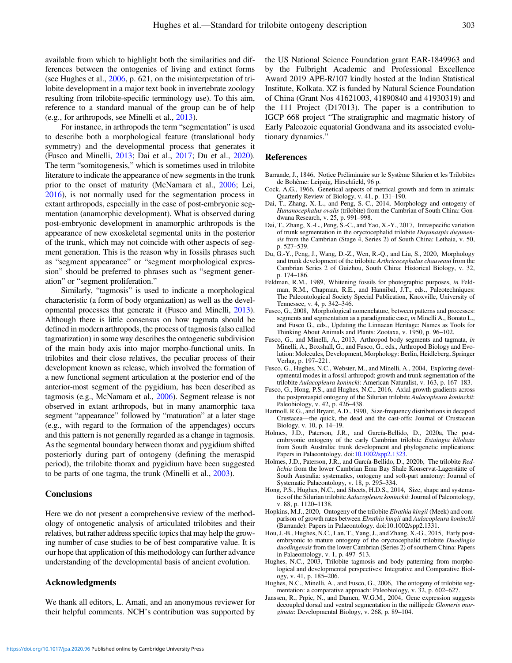<span id="page-5-0"></span>available from which to highlight both the similarities and differences between the ontogenies of living and extinct forms (see Hughes et al., 2006, p. 621, on the misinterpretation of trilobite development in a major text book in invertebrate zoology resulting from trilobite-specific terminology use). To this aim, reference to a standard manual of the group can be of help (e.g., for arthropods, see Minelli et al., [2013\)](#page-6-0).

For instance, in arthropods the term "segmentation" is used to describe both a morphological feature (translational body symmetry) and the developmental process that generates it (Fusco and Minelli, 2013; Dai et al., 2017; Du et al., 2020). The term "somitogenesis," which is sometimes used in trilobite literature to indicate the appearance of new segments in the trunk prior to the onset of maturity (McNamara et al., [2006](#page-6-0); Lei, [2016](#page-6-0)), is not normally used for the segmentation process in extant arthropods, especially in the case of post-embryonic segmentation (anamorphic development). What is observed during post-embryonic development in anamorphic arthropods is the appearance of new exoskeletal segmental units in the posterior of the trunk, which may not coincide with other aspects of segment generation. This is the reason why in fossils phrases such as "segment appearance" or "segment morphological expression" should be preferred to phrases such as "segment generation" or "segment proliferation."

Similarly, "tagmosis" is used to indicate a morphological characteristic (a form of body organization) as well as the developmental processes that generate it (Fusco and Minelli, 2013). Although there is little consensus on how tagmata should be defined in modern arthropods, the process of tagmosis (also called tagmatization) in some way describes the ontogenetic subdivision of the main body axis into major morpho-functional units. In trilobites and their close relatives, the peculiar process of their development known as release, which involved the formation of a new functional segment articulation at the posterior end of the anterior-most segment of the pygidium, has been described as tagmosis (e.g., McNamara et al., [2006\)](#page-6-0). Segment release is not observed in extant arthropods, but in many anamorphic taxa segment "appearance" followed by "maturation" at a later stage (e.g., with regard to the formation of the appendages) occurs and this pattern is not generally regarded as a change in tagmosis. As the segmental boundary between thorax and pygidium shifted posteriorly during part of ontogeny (defining the meraspid period), the trilobite thorax and pygidium have been suggested to be parts of one tagma, the trunk (Minelli et al., [2003\)](#page-6-0).

## **Conclusions**

Here we do not present a comprehensive review of the methodology of ontogenetic analysis of articulated trilobites and their relatives, but rather address specific topics that may help the growing number of case studies to be of best comparative value. It is our hope that application of this methodology can further advance understanding of the developmental basis of ancient evolution.

### Acknowledgments

We thank all editors, L. Amati, and an anonymous reviewer for their helpful comments. NCH's contribution was supported by

the US National Science Foundation grant EAR-1849963 and by the Fulbright Academic and Professional Excellence Award 2019 APE-R/107 kindly hosted at the Indian Statistical Institute, Kolkata. XZ is funded by Natural Science Foundation of China (Grant Nos 41621003, 41890840 and 41930319) and the 111 Project (D17013). The paper is a contribution to IGCP 668 project "The stratigraphic and magmatic history of Early Paleozoic equatorial Gondwana and its associated evolutionary dynamics."

#### References

- Barrande, J., 1846, Notice Préliminaire sur le Système Silurien et les Trilobites de Bohême: Leipzig, Hirschfield, 96 p.
- Cock, A.G., 1966, Genetical aspects of metrical growth and form in animals: Quarterly Review of Biology, v. 41, p. 131–190.
- Dai, T., Zhang, X.-L., and Peng, S.-C., 2014, Morphology and ontogeny of Hunanocephalus ovalis (trilobite) from the Cambrian of South China: Gondwana Research, v. 25, p. 991–998.
- Dai, T., Zhang, X.-L., Peng, S.-C., and Yao, X.-Y., 2017, Intraspecific variation of trunk segmentation in the oryctocephalid trilobite Duyunaspis duyunensis from the Cambrian (Stage 4, Series 2) of South China: Lethaia, v. 50, p. 527–539.
- Du, G.-Y., Peng, J., Wang, D.-Z., Wen, R.-Q., and Liu, S., 2020, Morphology and trunk development of the trilobite Arthricocephalus chauveaui from the Cambrian Series 2 of Guizhou, South China: Historical Biology, v. 32, p. 174–186.
- Feldman, R.M., 1989, Whitening fossils for photographic purposes, in Feldman, R.M., Chapman, R.E., and Hannibal, J.T., eds., Paleotechniques: The Paleontological Society Special Publication, Knoxville, University of Tennessee, v. 4, p. 342–346.
- Fusco, G., 2008, Morphological nomenclature, between patterns and processes: segments and segmentation as a paradigmatic case, in Minelli A., Bonato L., and Fusco G., eds., Updating the Linnaean Heritage: Names as Tools for Thinking About Animals and Plants: Zootaxa, v. 1950, p. 96–102.
- Fusco, G., and Minelli, A., 2013, Arthropod body segments and tagmata, in Minelli, A., Boxshall, G., and Fusco, G., eds., Arthropod Biology and Evolution: Molecules, Development, Morphology: Berlin, Heidleberg, Springer Verlag, p. 197–221.
- Fusco, G., Hughes, N.C., Webster, M., and Minelli, A., 2004, Exploring developmental modes in a fossil arthropod: growth and trunk segmentation of the trilobite Aulacopleura konincki: American Naturalist, v. 163, p. 167–183.
- Fusco, G., Hong, P.S., and Hughes, N.C., 2016, Axial growth gradients across the postprotaspid ontogeny of the Silurian trilobite Aulacopleura koninckii: Paleobiology, v. 42, p. 426–438.
- Hartnoll, R.G., and Bryant, A.D., 1990, Size-frequency distributions in decapod Crustacea—the quick, the dead and the cast-offs: Journal of Crustacean Biology, v. 10, p. 14–19.
- Holmes, J.D., Paterson, J.R., and García-Bellido, D., 2020a, The postembryonic ontogeny of the early Cambrian trilobite Estaingia bilobata from South Australia: trunk development and phylogenetic implications: Papers in Palaeontology. doi[:10.1002/spp2.1323](https://doi.org/10.1002/spp2.1323).
- Holmes, J.D., Paterson, J.R., and García-Bellido, D., 2020b, The trilobite Redlichia from the lower Cambrian Emu Bay Shale Konservat-Lagerstätte of South Australia: systematics, ontogeny and soft-part anatomy: Journal of Systematic Palaeontology, v. 18, p. 295–334.
- Hong, P.S., Hughes, N.C., and Sheets, H.D.S., 2014, Size, shape and systematics of the Silurian trilobite Aulacopleura koninckii: Journal of Paleontology, v. 88, p. 1120–1138.
- Hopkins, M.J., 2020, Ontogeny of the trilobite Elrathia kingii (Meek) and comparison of growth rates between Elrathia kingii and Aulacopleura koninckii (Barrande): Papers in Palaeontology. doi:10.1002/spp2.1331.
- Hou, J.-B., Hughes, N.C., Lan, T., Yang, J., and Zhang, X.-G., 2015, Early postembryonic to mature ontogeny of the oryctocephalid trilobite Duodingia duodingensis from the lower Cambrian (Series 2) of southern China: Papers in Palaeontology, v. 1, p. 497–513.
- Hughes, N.C., 2003, Trilobite tagmosis and body patterning from morphological and developmental perspectives: Integrative and Comparative Biology, v. 41, p. 185–206.
- Hughes, N.C., Minelli, A., and Fusco, G., 2006, The ontogeny of trilobite segmentation: a comparative approach: Paleobiology, v. 32, p. 602–627.
- Janssen, R., Prpic, N., and Damen, W.G.M., 2004, Gene expression suggests decoupled dorsal and ventral segmentation in the millipede Glomeris marginata: Developmental Biology, v. 268, p. 89–104.